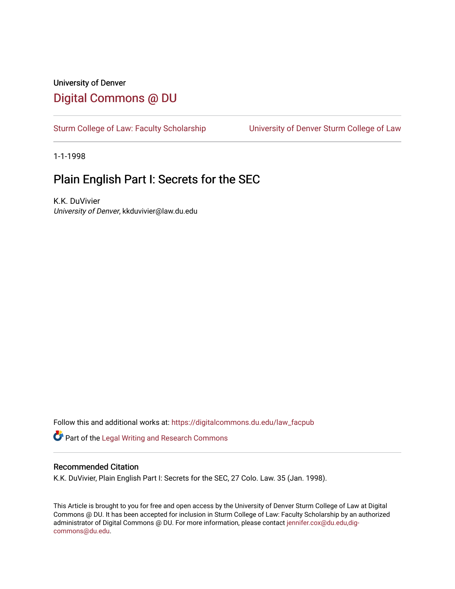# University of Denver [Digital Commons @ DU](https://digitalcommons.du.edu/)

[Sturm College of Law: Faculty Scholarship](https://digitalcommons.du.edu/law_facpub) [University of Denver Sturm College of Law](https://digitalcommons.du.edu/denver_law) 

1-1-1998

# Plain English Part I: Secrets for the SEC

K.K. DuVivier University of Denver, kkduvivier@law.du.edu

Follow this and additional works at: [https://digitalcommons.du.edu/law\\_facpub](https://digitalcommons.du.edu/law_facpub?utm_source=digitalcommons.du.edu%2Flaw_facpub%2F373&utm_medium=PDF&utm_campaign=PDFCoverPages) 

Part of the [Legal Writing and Research Commons](http://network.bepress.com/hgg/discipline/614?utm_source=digitalcommons.du.edu%2Flaw_facpub%2F373&utm_medium=PDF&utm_campaign=PDFCoverPages) 

# Recommended Citation

K.K. DuVivier, Plain English Part I: Secrets for the SEC, 27 Colo. Law. 35 (Jan. 1998).

This Article is brought to you for free and open access by the University of Denver Sturm College of Law at Digital Commons @ DU. It has been accepted for inclusion in Sturm College of Law: Faculty Scholarship by an authorized administrator of Digital Commons @ DU. For more information, please contact [jennifer.cox@du.edu,dig](mailto:jennifer.cox@du.edu,dig-commons@du.edu)[commons@du.edu.](mailto:jennifer.cox@du.edu,dig-commons@du.edu)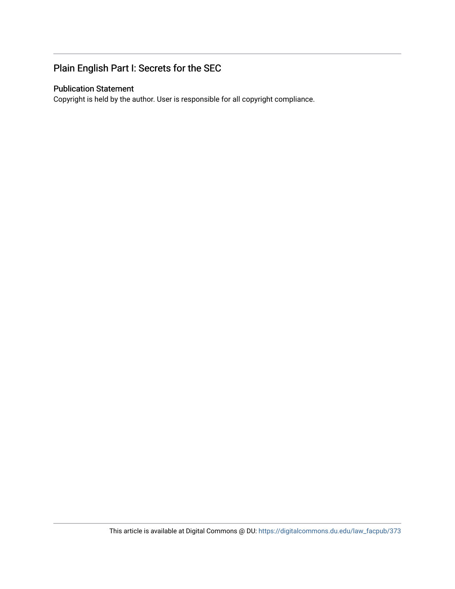# Plain English Part I: Secrets for the SEC

# Publication Statement

Copyright is held by the author. User is responsible for all copyright compliance.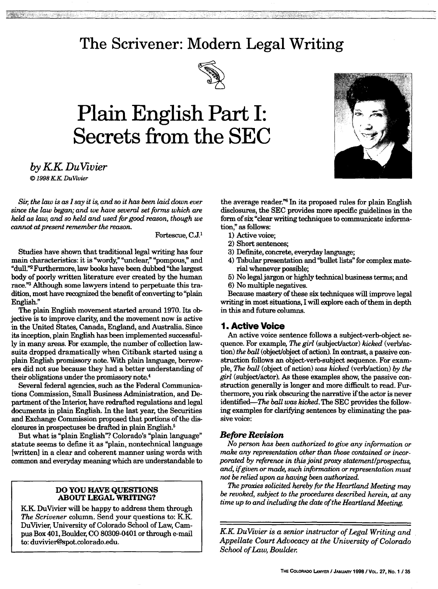# **The Scrivener: Modern Legal Writing**



# **Plain English Part I: Secrets from the SEC**



*by KK DuVivier © 1998 KK DuVivier*

*Sir, the law is as I say it is, and so it has been laid down ever since the law began; and we have several set forms which are held as law, and so held and used for good reason, though we cannot at present remember the reason.*

Fortescue, C.J.

Studies have shown that traditional legal writing has four main characteristics: it is "wordy," "unclear," "pompous," and "dull."2 Furthermore, law books have been dubbed "the largest body of poorly written literature ever created by the human race."3 Although some lawyers intend to perpetuate this tradition, most have recognized the benefit of converting to "plain English."

The plain English movement started around 1970. Its objective is to improve clarity, and the movement now is active in the United States, Canada, England, and Australia. Since its inception, plain English has been implemented successfully in many areas. For example, the number of collection lawsuits dropped dramatically when Citibank started using a plain English promissory note. With plain language, borrowers did not sue because they had a better understanding of their obligations under the promissory note.4

Several federal agencies, such as the Federal Communications Commission, Small Business Administration, and Department of the Interior, have redrafted regulations and legal documents in plain English. In the last year, the Securities and Exchange Commission proposed that portions of the disclosures in prospectuses be drafted in plain English.5

But what is "plain English"? Colorado's "plain language" statute seems to define it as "plain, nontechnical language [written] in a clear and coherent manner using words with common and everyday meaning which are understandable to

#### **DO YOU HAVE QUESTIONS ABOUT LEGAL WRITING?**

K.K. Du Vivier will be happy to address them through *The Scrivener* column. Send your questions to: K.K. DuVivier, University of Colorado School of Law, Campus Box 401, Boulder, CO 80309-0401 or through e-mail to: duvivier@spot.colorado.edu.

the average reader."6 In its proposed rules for plain English disclosures, the **SEC** provides more specific guidelines in the form of six "clear writing techniques to communicate information," as follows:

- 1) Active voice;
- 2) Short sentences;
- 3) Definite, concrete, everyday language;
- 4) Tabular presentation and "bullet lists" for complex material whenever possible;
- 5) No legal jargon or highly technical business terms; and 6) No multiple negatives.

Because mastery of these six techniques will improve legal writing in most situations, I will explore each of them in depth in this and future columns.

# **1. Active Voice**

An active voice sentence follows a subject-verb-object sequence. For example *The girl* (subject/actor) *kicked* (verb/action) *the ball* (object/object of action). In contrast, a passive construction follows an object-verb-subject sequence. For example, *The ball* (object of action) *was kicked* (verblaction) *by the girl* (subject/actor). As these examples show, the passive construction generally is longer and more difficult to read. Furthermore, you risk obscuring the narrative if the actor is never identified--The *ball was kicked.* The SEC provides the following examples for clarifying sentences by eliminating the passive voice:

## *Before Revision*

*No person has been authorized to give any information or make any representation other than those contained or incorporated by reference in this joint proxy statement/prospectus, and, ifgiven or made, such information or representation must not be relied upon as having been authorized.*

*The proxies solicited hereby for the Heartland Meeting may be revoked, subject to the procedures described herein, at any time up to and including the date of the Heartland Meeting.*

*KK DuVivier is a senior instructor of Legal Writing and Appellate Court Advocacy at the University of Colorado School of Law, Boulder*